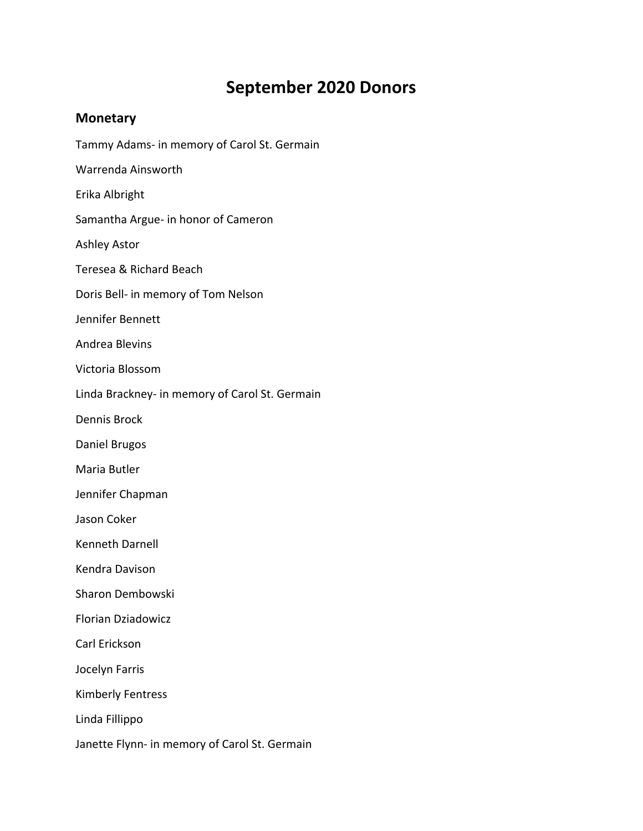## **September 2020 Donors**

## **Monetary**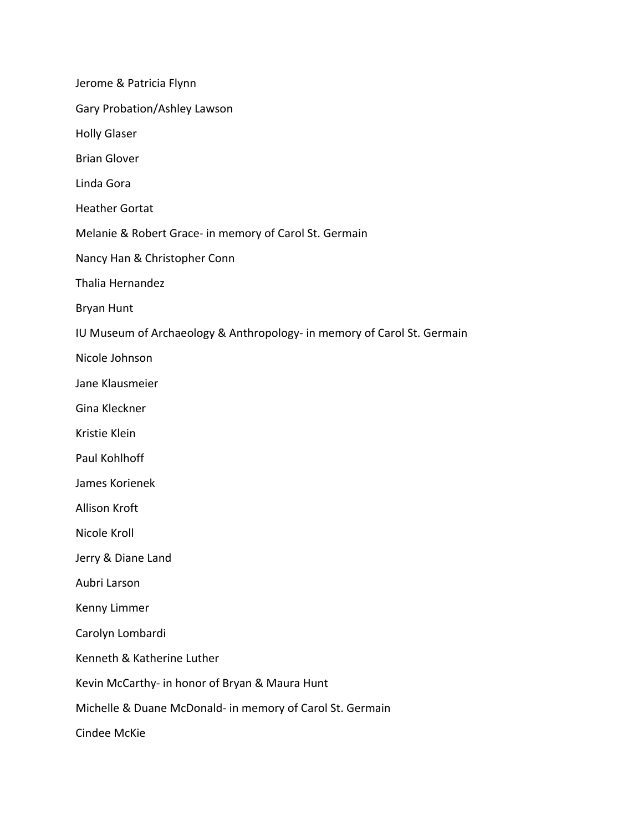Jerome & Patricia Flynn Gary Probation/Ashley Lawson Holly Glaser Brian Glover Linda Gora Heather Gortat Melanie & Robert Grace‐ in memory of Carol St. Germain Nancy Han & Christopher Conn Thalia Hernandez Bryan Hunt IU Museum of Archaeology & Anthropology‐ in memory of Carol St. Germain Nicole Johnson Jane Klausmeier Gina Kleckner Kristie Klein Paul Kohlhoff James Korienek Allison Kroft Nicole Kroll Jerry & Diane Land Aubri Larson Kenny Limmer Carolyn Lombardi Kenneth & Katherine Luther Kevin McCarthy‐ in honor of Bryan & Maura Hunt Michelle & Duane McDonald‐ in memory of Carol St. Germain Cindee McKie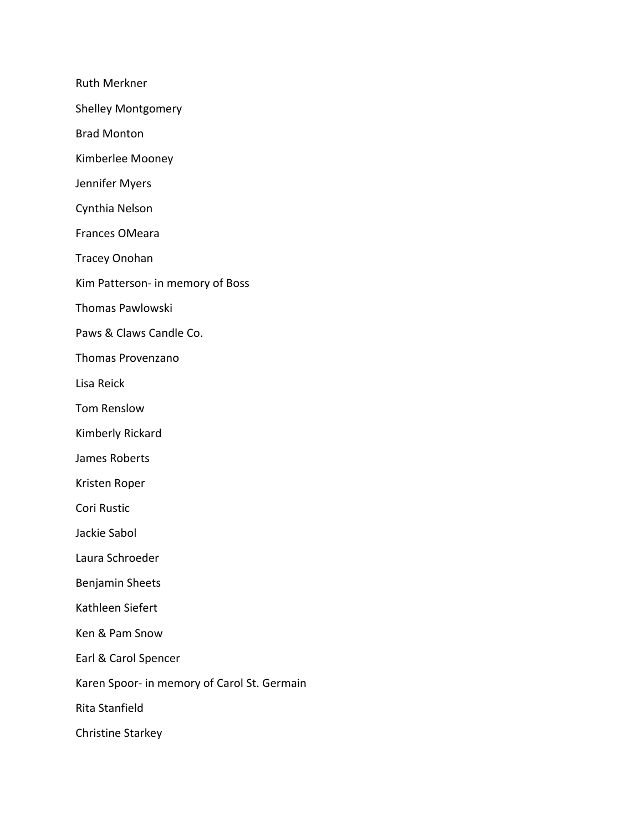Ruth Merkner

Shelley Montgomery

Brad Monton

Kimberlee Mooney

Jennifer Myers

Cynthia Nelson

Frances OMeara

Tracey Onohan

Kim Patterson‐ in memory of Boss

Thomas Pawlowski

Paws & Claws Candle Co.

Thomas Provenzano

Lisa Reick

Tom Renslow

Kimberly Rickard

James Roberts

Kristen Roper

Cori Rustic

Jackie Sabol

Laura Schroeder

Benjamin Sheets

Kathleen Siefert

Ken & Pam Snow

Earl & Carol Spencer

Karen Spoor‐ in memory of Carol St. Germain

Rita Stanfield

Christine Starkey